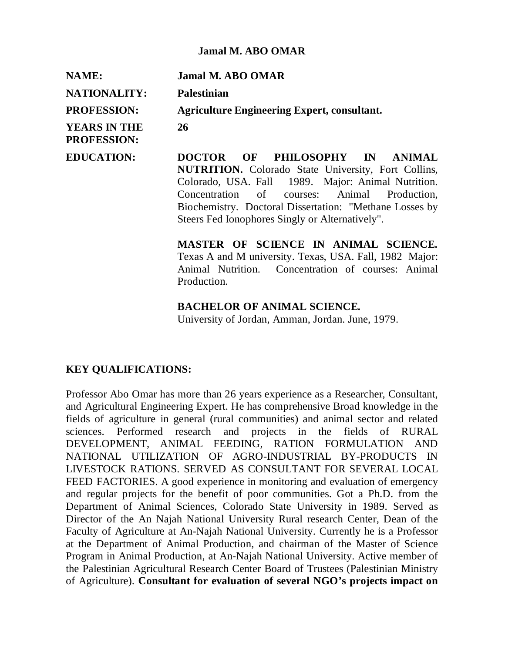#### **Jamal M. ABO OMAR**

**NAME: Jamal M. ABO OMAR NATIONALITY: Palestinian PROFESSION: Agriculture Engineering Expert, consultant. YEARS IN THE PROFESSION: 26 EDUCATION: DOCTOR OF PHILOSOPHY IN ANIMAL NUTRITION.** Colorado State University, Fort Collins,

Colorado, USA. Fall 1989. Major: Animal Nutrition. Concentration of courses: Animal Production, Biochemistry. Doctoral Dissertation: "Methane Losses by Steers Fed Ionophores Singly or Alternatively".

**MASTER OF SCIENCE IN ANIMAL SCIENCE***.* Texas A and M university. Texas, USA. Fall, 1982 Major: Animal Nutrition. Concentration of courses: Animal Production.

#### **BACHELOR OF ANIMAL SCIENCE***.*

University of Jordan, Amman, Jordan. June, 1979.

## **KEY QUALIFICATIONS:**

Professor Abo Omar has more than 26 years experience as a Researcher, Consultant, and Agricultural Engineering Expert. He has comprehensive Broad knowledge in the fields of agriculture in general (rural communities) and animal sector and related sciences. Performed research and projects in the fields of RURAL DEVELOPMENT, ANIMAL FEEDING, RATION FORMULATION AND NATIONAL UTILIZATION OF AGRO-INDUSTRIAL BY-PRODUCTS IN LIVESTOCK RATIONS. SERVED AS CONSULTANT FOR SEVERAL LOCAL FEED FACTORIES. A good experience in monitoring and evaluation of emergency and regular projects for the benefit of poor communities. Got a Ph.D. from the Department of Animal Sciences, Colorado State University in 1989. Served as Director of the An Najah National University Rural research Center, Dean of the Faculty of Agriculture at An-Najah National University. Currently he is a Professor at the Department of Animal Production, and chairman of the Master of Science Program in Animal Production, at An-Najah National University. Active member of the Palestinian Agricultural Research Center Board of Trustees (Palestinian Ministry of Agriculture). **Consultant for evaluation of several NGO's projects impact on**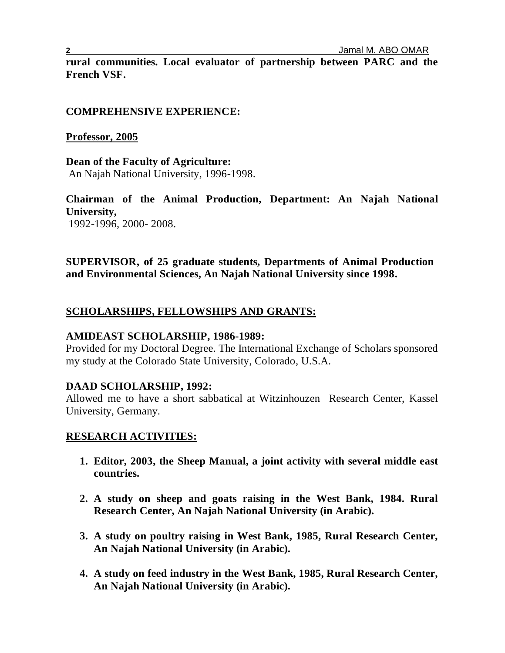**rural communities. Local evaluator of partnership between PARC and the French VSF.** 

## **COMPREHENSIVE EXPERIENCE:**

## **Professor, 2005**

**Dean of the Faculty of Agriculture:** An Najah National University, 1996-1998.

**Chairman of the Animal Production, Department: An Najah National University,** 1992-1996, 2000- 2008.

**SUPERVISOR, of 25 graduate students, Departments of Animal Production and Environmental Sciences, An Najah National University since 1998.**

# **SCHOLARSHIPS, FELLOWSHIPS AND GRANTS:**

## **AMIDEAST SCHOLARSHIP, 1986-1989:**

Provided for my Doctoral Degree. The International Exchange of Scholars sponsored my study at the Colorado State University, Colorado, U.S.A.

# **DAAD SCHOLARSHIP, 1992:**

Allowed me to have a short sabbatical at Witzinhouzen Research Center, Kassel University, Germany.

# **RESEARCH ACTIVITIES:**

- **1. Editor, 2003, the Sheep Manual, a joint activity with several middle east countries.**
- **2. A study on sheep and goats raising in the West Bank, 1984. Rural Research Center, An Najah National University (in Arabic).**
- **3. A study on poultry raising in West Bank, 1985, Rural Research Center, An Najah National University (in Arabic).**
- **4. A study on feed industry in the West Bank, 1985, Rural Research Center, An Najah National University (in Arabic).**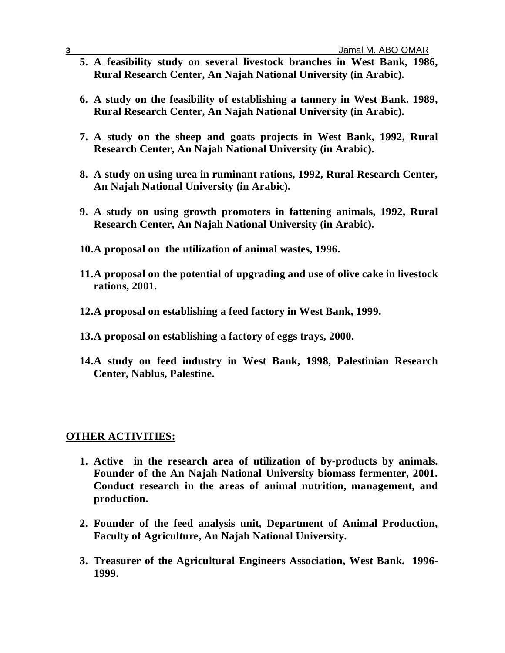- **5. A feasibility study on several livestock branches in West Bank, 1986, Rural Research Center, An Najah National University (in Arabic).**
- **6. A study on the feasibility of establishing a tannery in West Bank. 1989, Rural Research Center, An Najah National University (in Arabic).**
- **7. A study on the sheep and goats projects in West Bank, 1992, Rural Research Center, An Najah National University (in Arabic).**
- **8. A study on using urea in ruminant rations, 1992, Rural Research Center, An Najah National University (in Arabic).**
- **9. A study on using growth promoters in fattening animals, 1992, Rural Research Center, An Najah National University (in Arabic).**
- **10.A proposal on the utilization of animal wastes, 1996.**
- **11.A proposal on the potential of upgrading and use of olive cake in livestock rations, 2001.**
- **12.A proposal on establishing a feed factory in West Bank, 1999.**
- **13.A proposal on establishing a factory of eggs trays, 2000.**
- **14.A study on feed industry in West Bank, 1998, Palestinian Research Center, Nablus, Palestine.**

#### **OTHER ACTIVITIES:**

- **1. Active in the research area of utilization of by-products by animals. Founder of the An Najah National University biomass fermenter, 2001. Conduct research in the areas of animal nutrition, management, and production.**
- **2. Founder of the feed analysis unit, Department of Animal Production, Faculty of Agriculture, An Najah National University.**
- **3. Treasurer of the Agricultural Engineers Association, West Bank. 1996- 1999.**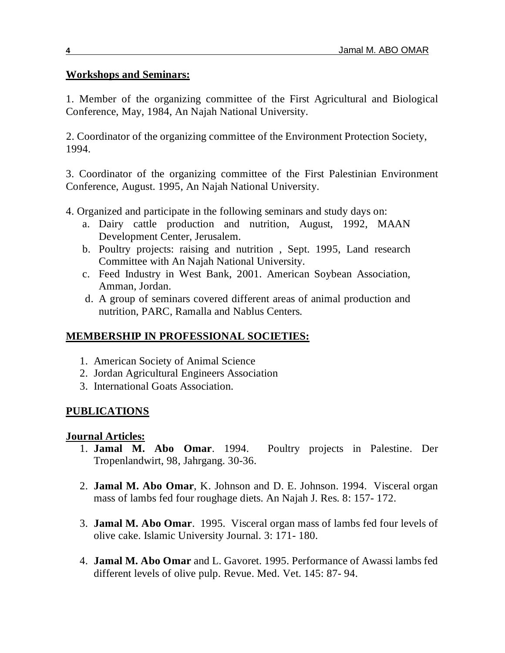## **Workshops and Seminars:**

1. Member of the organizing committee of the First Agricultural and Biological Conference, May, 1984, An Najah National University.

 2. Coordinator of the organizing committee of the Environment Protection Society, 1994.

3. Coordinator of the organizing committee of the First Palestinian Environment Conference, August. 1995, An Najah National University.

- 4. Organized and participate in the following seminars and study days on:
	- a. Dairy cattle production and nutrition, August, 1992, MAAN Development Center, Jerusalem.
	- b. Poultry projects: raising and nutrition , Sept. 1995, Land research Committee with An Najah National University.
	- c. Feed Industry in West Bank, 2001. American Soybean Association, Amman, Jordan.
	- d. A group of seminars covered different areas of animal production and nutrition, PARC, Ramalla and Nablus Centers.

# **MEMBERSHIP IN PROFESSIONAL SOCIETIES:**

- 1. American Society of Animal Science
- 2. Jordan Agricultural Engineers Association
- 3. International Goats Association.

# **PUBLICATIONS**

## **Journal Articles:**

- 1. **Jamal M. Abo Omar**. 1994. Poultry projects in Palestine. Der Tropenlandwirt, 98, Jahrgang. 30-36.
- 2. **Jamal M. Abo Omar**, K. Johnson and D. E. Johnson. 1994. Visceral organ mass of lambs fed four roughage diets. An Najah J. Res. 8: 157- 172.
- 3. **Jamal M. Abo Omar**. 1995. Visceral organ mass of lambs fed four levels of olive cake. Islamic University Journal. 3: 171- 180.
- 4. **Jamal M. Abo Omar** and L. Gavoret. 1995. Performance of Awassi lambs fed different levels of olive pulp. Revue. Med. Vet. 145: 87- 94.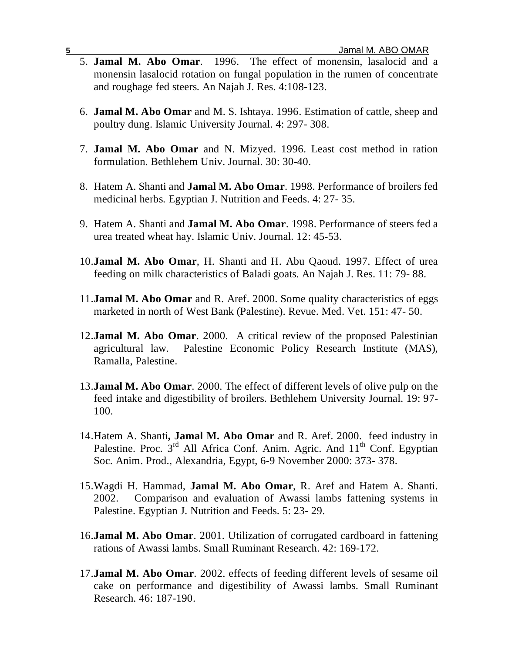- 5. **Jamal M. Abo Omar**. 1996. The effect of monensin, lasalocid and a monensin lasalocid rotation on fungal population in the rumen of concentrate and roughage fed steers. An Najah J. Res. 4:108-123.
- 6. **Jamal M. Abo Omar** and M. S. Ishtaya. 1996. Estimation of cattle, sheep and poultry dung. Islamic University Journal. 4: 297- 308.
- 7. **Jamal M. Abo Omar** and N. Mizyed. 1996. Least cost method in ration formulation. Bethlehem Univ. Journal. 30: 30-40.
- 8. Hatem A. Shanti and **Jamal M. Abo Omar**. 1998. Performance of broilers fed medicinal herbs. Egyptian J. Nutrition and Feeds. 4: 27- 35.
- 9. Hatem A. Shanti and **Jamal M. Abo Omar**. 1998. Performance of steers fed a urea treated wheat hay. Islamic Univ. Journal. 12: 45-53.
- 10.**Jamal M. Abo Omar**, H. Shanti and H. Abu Qaoud. 1997. Effect of urea feeding on milk characteristics of Baladi goats. An Najah J. Res. 11: 79- 88.
- 11.**Jamal M. Abo Omar** and R. Aref. 2000. Some quality characteristics of eggs marketed in north of West Bank (Palestine). Revue. Med. Vet. 151: 47- 50.
- 12.**Jamal M. Abo Omar**. 2000. A critical review of the proposed Palestinian agricultural law. Palestine Economic Policy Research Institute (MAS), Ramalla, Palestine.
- 13.**Jamal M. Abo Omar**. 2000. The effect of different levels of olive pulp on the feed intake and digestibility of broilers. Bethlehem University Journal. 19: 97- 100.
- 14.Hatem A. Shanti**, Jamal M. Abo Omar** and R. Aref. 2000. feed industry in Palestine. Proc.  $3^{rd}$  All Africa Conf. Anim. Agric. And  $11^{th}$  Conf. Egyptian Soc. Anim. Prod., Alexandria, Egypt, 6-9 November 2000: 373- 378.
- 15.Wagdi H. Hammad, **Jamal M. Abo Omar**, R. Aref and Hatem A. Shanti. 2002. Comparison and evaluation of Awassi lambs fattening systems in Palestine. Egyptian J. Nutrition and Feeds. 5: 23- 29.
- 16.**Jamal M. Abo Omar**. 2001. Utilization of corrugated cardboard in fattening rations of Awassi lambs. Small Ruminant Research. 42: 169-172.
- 17.**Jamal M. Abo Omar**. 2002. effects of feeding different levels of sesame oil cake on performance and digestibility of Awassi lambs. Small Ruminant Research. 46: 187-190.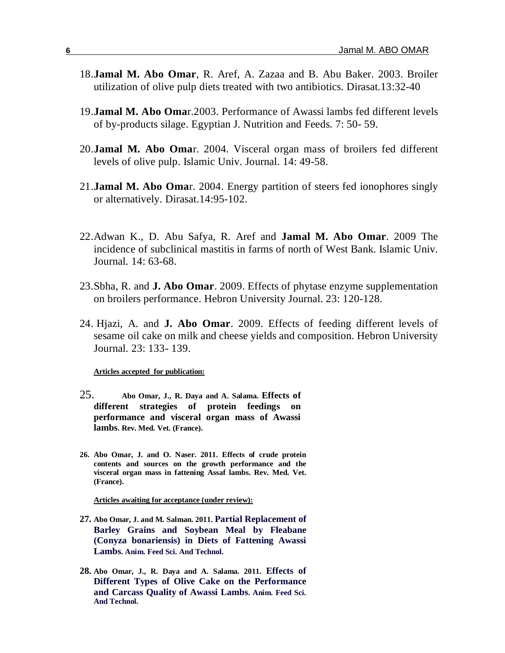- 18.**Jamal M. Abo Omar**, R. Aref, A. Zazaa and B. Abu Baker. 2003. Broiler utilization of olive pulp diets treated with two antibiotics. Dirasat.13:32-40
- 19.**Jamal M. Abo Oma**r.2003. Performance of Awassi lambs fed different levels of by-products silage. Egyptian J. Nutrition and Feeds. 7: 50- 59.
- 20.**Jamal M. Abo Oma**r. 2004. Visceral organ mass of broilers fed different levels of olive pulp. Islamic Univ. Journal. 14: 49-58.
- 21.**Jamal M. Abo Oma**r. 2004. Energy partition of steers fed ionophores singly or alternatively. Dirasat.14:95-102.
- 22.Adwan K., D. Abu Safya, R. Aref and **Jamal M. Abo Omar**. 2009 The incidence of subclinical mastitis in farms of north of West Bank. Islamic Univ. Journal. 14: 63-68.
- 23.Sbha, R. and **J. Abo Omar**. 2009. Effects of phytase enzyme supplementation on broilers performance. Hebron University Journal. 23: 120-128.
- 24. Hjazi, A. and **J. Abo Omar**. 2009. Effects of feeding different levels of sesame oil cake on milk and cheese yields and composition. Hebron University Journal. 23: 133- 139.

**Articles accepted for publication:**

- 25. **Abo Omar, J., R. Daya and A. Salama. Effects of different strategies of protein feedings on performance and visceral organ mass of Awassi lambs. Rev. Med. Vet. (France).**
- **26. Abo Omar, J. and O. Naser. 2011. Effects of crude protein contents and sources on the growth performance and the visceral organ mass in fattening Assaf lambs. Rev. Med. Vet. (France).**

**Articles awaiting for acceptance (under review):**

- **27. Abo Omar, J. and M. Salman. 2011. Partial Replacement of Barley Grains and Soybean Meal by Fleabane (Conyza bonariensis) in Diets of Fattening Awassi Lambs. Anim. Feed Sci. And Technol.**
- **28. Abo Omar, J., R. Daya and A. Salama. 2011. Effects of Different Types of Olive Cake on the Performance and Carcass Quality of Awassi Lambs. Anim. Feed Sci. And Technol.**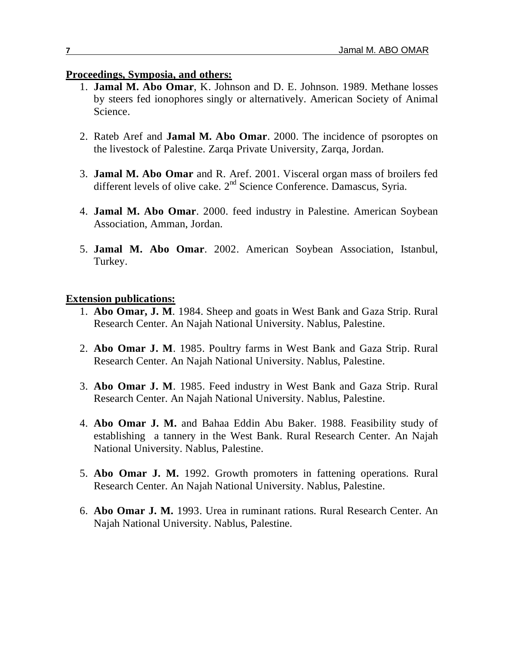#### **Proceedings, Symposia, and others:**

- 1. **Jamal M. Abo Omar**, K. Johnson and D. E. Johnson. 1989. Methane losses by steers fed ionophores singly or alternatively. American Society of Animal Science.
- 2. Rateb Aref and **Jamal M. Abo Omar**. 2000. The incidence of psoroptes on the livestock of Palestine. Zarqa Private University, Zarqa, Jordan.
- 3. **Jamal M. Abo Omar** and R. Aref. 2001. Visceral organ mass of broilers fed different levels of olive cake. 2<sup>nd</sup> Science Conference. Damascus, Syria.
- 4. **Jamal M. Abo Omar**. 2000. feed industry in Palestine. American Soybean Association, Amman, Jordan.
- 5. **Jamal M. Abo Omar**. 2002. American Soybean Association, Istanbul, Turkey.

## **Extension publications:**

- 1. **Abo Omar, J. M**. 1984. Sheep and goats in West Bank and Gaza Strip. Rural Research Center. An Najah National University. Nablus, Palestine.
- 2. **Abo Omar J. M**. 1985. Poultry farms in West Bank and Gaza Strip. Rural Research Center. An Najah National University. Nablus, Palestine.
- 3. **Abo Omar J. M**. 1985. Feed industry in West Bank and Gaza Strip. Rural Research Center. An Najah National University. Nablus, Palestine.
- 4. **Abo Omar J. M.** and Bahaa Eddin Abu Baker. 1988. Feasibility study of establishing a tannery in the West Bank. Rural Research Center. An Najah National University. Nablus, Palestine.
- 5. **Abo Omar J. M.** 1992. Growth promoters in fattening operations. Rural Research Center. An Najah National University. Nablus, Palestine.
- 6. **Abo Omar J. M.** 1993. Urea in ruminant rations. Rural Research Center. An Najah National University. Nablus, Palestine.